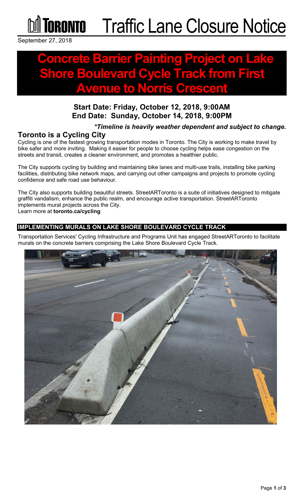

September 27, 2018

# **Concrete Barrier Painting Project on Lake Cycle Track from First Avenue to Norris Crescent**

### **Start Date: Friday, October 12, 2018, 9:00AM End Date: Sunday, October 14, 2018, 9:00PM**

#### *\*Timeline is heavily weather dependent and subject to change.*

#### **Toronto is a Cycling City**

Cycling is one of the fastest growing transportation modes in Toronto. The City is working to make travel by bike safer and more inviting. Making it easier for people to choose cycling helps ease congestion on the streets and transit, creates a cleaner environment, and promotes a healthier public.

The City supports cycling by building and maintaining bike lanes and multi-use trails, installing bike parking facilities, distributing bike network maps, and carrying out other campaigns and projects to promote cycling confidence and safe road use behaviour.

The City also supports building beautiful streets. StreetARToronto is a suite of initiatives designed to mitigate graffiti vandalism, enhance the public realm, and encourage active transportation. StreetARToronto implements mural projects across the City.

Learn more at **toronto.ca/cycling**

#### **IMPLEMENTING MURALS ON LAKE SHORE BOULEVARD CYCLE TRACK**

Transportation Services' Cycling Infrastructure and Programs Unit has engaged StreetARToronto to facilitate murals on the concrete barriers comprising the Lake Shore Boulevard Cycle Track.

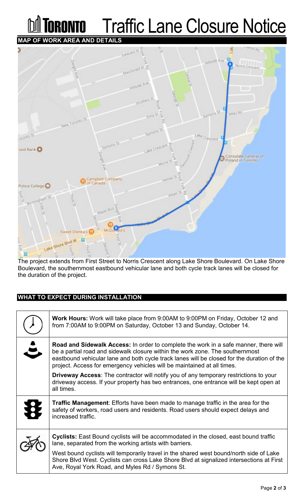## **Traffic Lane Closure Notice** RANTA **MAP OF WORK AREA AND DETAILS**



The project extends from First Street to Norris Crescent along Lake Shore Boulevard. On Lake Shore Boulevard, the southernmost eastbound vehicular lane and both cycle track lanes will be closed for the duration of the project.

#### **WHAT TO EXPECT DURING INSTALLATION**

|                      | <b>Work Hours:</b> Work will take place from 9:00AM to 9:00PM on Friday, October 12 and<br>from 7:00AM to 9:00PM on Saturday, October 13 and Sunday, October 14.                                                                                                                                                                                      |
|----------------------|-------------------------------------------------------------------------------------------------------------------------------------------------------------------------------------------------------------------------------------------------------------------------------------------------------------------------------------------------------|
| $\ddot{\phantom{a}}$ | <b>Road and Sidewalk Access:</b> In order to complete the work in a safe manner, there will<br>be a partial road and sidewalk closure within the work zone. The southernmost<br>eastbound vehicular lane and both cycle track lanes will be closed for the duration of the<br>project. Access for emergency vehicles will be maintained at all times. |
|                      | <b>Driveway Access:</b> The contractor will notify you of any temporary restrictions to your<br>driveway access. If your property has two entrances, one entrance will be kept open at<br>all times.                                                                                                                                                  |
| 投                    | <b>Traffic Management:</b> Efforts have been made to manage traffic in the area for the<br>safety of workers, road users and residents. Road users should expect delays and<br>increased traffic.                                                                                                                                                     |
|                      | <b>Cyclists:</b> East Bound cyclists will be accommodated in the closed, east bound traffic<br>lane, separated from the working artists with barriers.                                                                                                                                                                                                |
|                      | West bound cyclists will temporarily travel in the shared west bound/north side of Lake<br>Shore Blvd West. Cyclists can cross Lake Shore Blvd at signalized intersections at First<br>Ave, Royal York Road, and Myles Rd / Symons St.                                                                                                                |